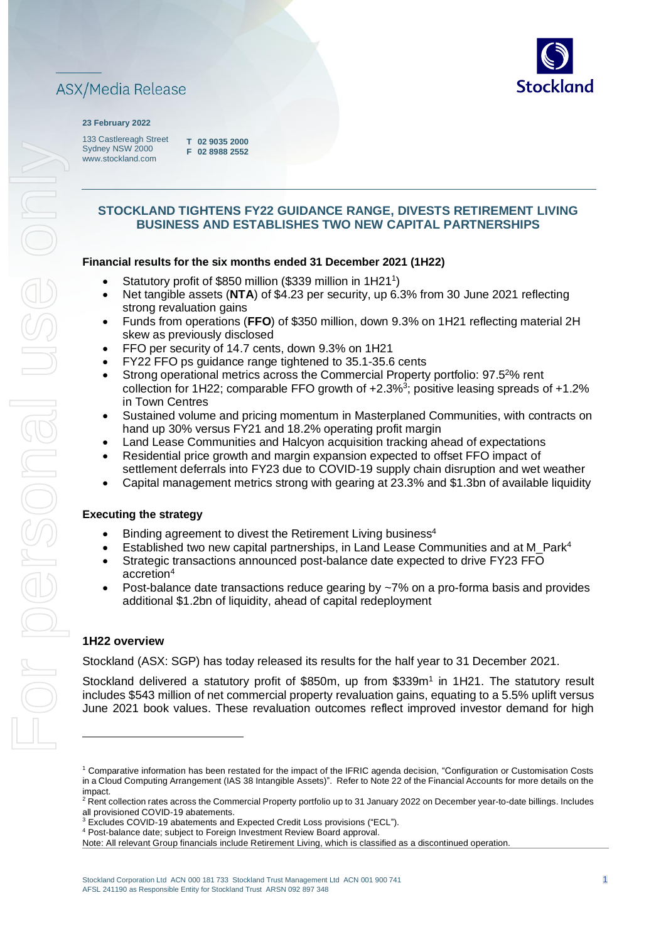

#### **23 February 2022**

133 Castlereagh Street Sydney NSW 2000 www.stockland.com

**T 02 9035 2000 F 02 8988 2552** 

# **STOCKLAND TIGHTENS FY22 GUIDANCE RANGE, DIVESTS RETIREMENT LIVING BUSINESS AND ESTABLISHES TWO NEW CAPITAL PARTNERSHIPS**

### **Financial results for the six months ended 31 December 2021 (1H22)**

- Statutory profit of \$850 million (\$339 million in 1H211)
- Net tangible assets (**NTA**) of \$4.23 per security, up 6.3% from 30 June 2021 reflecting strong revaluation gains
- Funds from operations (**FFO**) of \$350 million, down 9.3% on 1H21 reflecting material 2H skew as previously disclosed
- FFO per security of 14.7 cents, down 9.3% on 1H21
- FY22 FFO ps guidance range tightened to 35.1-35.6 cents
- Strong operational metrics across the Commercial Property portfolio: 97.5<sup>2</sup>% rent collection for 1H22; comparable FFO growth of  $+2.3\%$ <sup>3</sup>; positive leasing spreads of  $+1.2\%$ in Town Centres
- Sustained volume and pricing momentum in Masterplaned Communities, with contracts on hand up 30% versus FY21 and 18.2% operating profit margin
- Land Lease Communities and Halcyon acquisition tracking ahead of expectations
- Residential price growth and margin expansion expected to offset FFO impact of settlement deferrals into FY23 due to COVID-19 supply chain disruption and wet weather
- Capital management metrics strong with gearing at 23.3% and \$1.3bn of available liquidity

#### **Executing the strategy**

- Binding agreement to divest the Retirement Living business<sup>4</sup>
- Established two new capital partnerships, in Land Lease Communities and at M\_Park<sup>4</sup>
- Strategic transactions announced post-balance date expected to drive FY23 FFO accretion<sup>4</sup>
- Post-balance date transactions reduce gearing by ~7% on a pro-forma basis and provides additional \$1.2bn of liquidity, ahead of capital redeployment

### **1H22 overview**

Stockland (ASX: SGP) has today released its results for the half year to 31 December 2021.

Stockland delivered a statutory profit of \$850m, up from \$339m<sup>1</sup> in 1H21. The statutory result includes \$543 million of net commercial property revaluation gains, equating to a 5.5% uplift versus June 2021 book values. These revaluation outcomes reflect improved investor demand for high

<sup>3</sup> Excludes COVID-19 abatements and Expected Credit Loss provisions ("ECL").

<sup>&</sup>lt;sup>1</sup> Comparative information has been restated for the impact of the IFRIC agenda decision, "Configuration or Customisation Costs in a Cloud Computing Arrangement (IAS 38 Intangible Assets)". Refer to Note 22 of the Financial Accounts for more details on the impact.

<sup>&</sup>lt;sup>2</sup> Rent collection rates across the Commercial Property portfolio up to 31 January 2022 on December year-to-date billings. Includes all provisioned COVID-19 abatements.

<sup>4</sup> Post-balance date; subject to Foreign Investment Review Board approval.

Note: All relevant Group financials include Retirement Living, which is classified as a discontinued operation.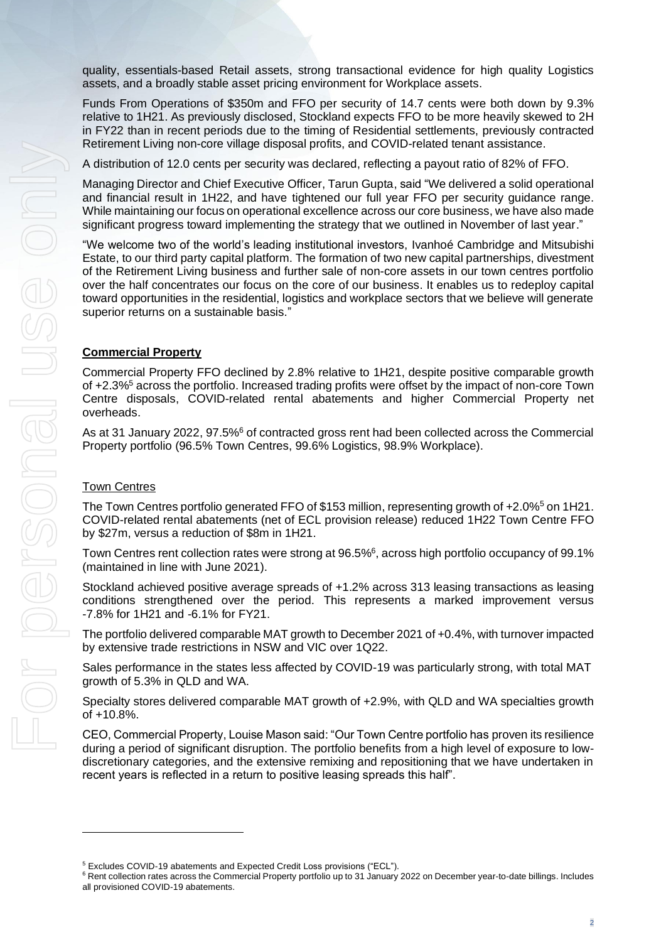quality, essentials-based Retail assets, strong transactional evidence for high quality Logistics assets, and a broadly stable asset pricing environment for Workplace assets.

Funds From Operations of \$350m and FFO per security of 14.7 cents were both down by 9.3% relative to 1H21. As previously disclosed, Stockland expects FFO to be more heavily skewed to 2H in FY22 than in recent periods due to the timing of Residential settlements, previously contracted Retirement Living non-core village disposal profits, and COVID-related tenant assistance.

A distribution of 12.0 cents per security was declared, reflecting a payout ratio of 82% of FFO.

Managing Director and Chief Executive Officer, Tarun Gupta, said "We delivered a solid operational and financial result in 1H22, and have tightened our full year FFO per security guidance range. While maintaining our focus on operational excellence across our core business, we have also made significant progress toward implementing the strategy that we outlined in November of last year."

"We welcome two of the world's leading institutional investors, Ivanhoé Cambridge and Mitsubishi Estate, to our third party capital platform. The formation of two new capital partnerships, divestment of the Retirement Living business and further sale of non-core assets in our town centres portfolio over the half concentrates our focus on the core of our business. It enables us to redeploy capital toward opportunities in the residential, logistics and workplace sectors that we believe will generate superior returns on a sustainable basis."

## **Commercial Property**

Commercial Property FFO declined by 2.8% relative to 1H21, despite positive comparable growth of +2.3%<sup>5</sup> across the portfolio. Increased trading profits were offset by the impact of non-core Town Centre disposals, COVID-related rental abatements and higher Commercial Property net overheads.

As at 31 January 2022, 97.5%<sup>6</sup> of contracted gross rent had been collected across the Commercial Property portfolio (96.5% Town Centres, 99.6% Logistics, 98.9% Workplace).

### Town Centres

The Town Centres portfolio generated FFO of \$153 million, representing growth of +2.0%<sup>5</sup> on 1H21. COVID-related rental abatements (net of ECL provision release) reduced 1H22 Town Centre FFO by \$27m, versus a reduction of \$8m in 1H21.

Town Centres rent collection rates were strong at 96.5%<sup>6</sup>, across high portfolio occupancy of 99.1% (maintained in line with June 2021).

Stockland achieved positive average spreads of +1.2% across 313 leasing transactions as leasing conditions strengthened over the period. This represents a marked improvement versus -7.8% for 1H21 and -6.1% for FY21.

The portfolio delivered comparable MAT growth to December 2021 of +0.4%, with turnover impacted by extensive trade restrictions in NSW and VIC over 1Q22.

Sales performance in the states less affected by COVID-19 was particularly strong, with total MAT growth of 5.3% in QLD and WA.

Specialty stores delivered comparable MAT growth of +2.9%, with QLD and WA specialties growth of +10.8%.

CEO, Commercial Property, Louise Mason said: "Our Town Centre portfolio has proven its resilience during a period of significant disruption. The portfolio benefits from a high level of exposure to lowdiscretionary categories, and the extensive remixing and repositioning that we have undertaken in recent years is reflected in a return to positive leasing spreads this half".

<sup>5</sup> Excludes COVID-19 abatements and Expected Credit Loss provisions ("ECL").

<sup>&</sup>lt;sup>6</sup> Rent collection rates across the Commercial Property portfolio up to 31 January 2022 on December year-to-date billings. Includes all provisioned COVID-19 abatements.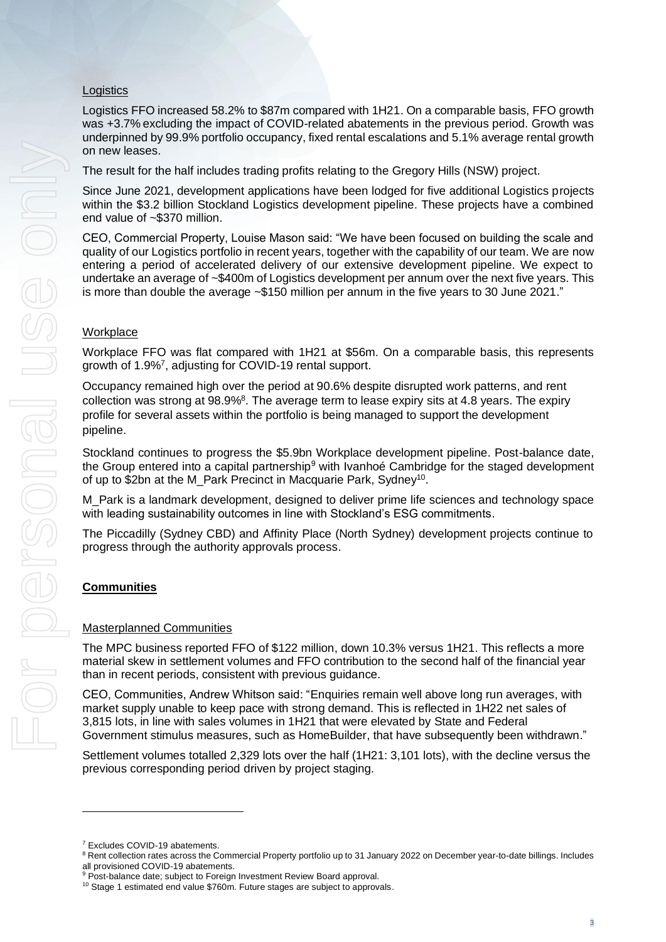# Logistics

Logistics FFO increased 58.2% to \$87m compared with 1H21. On a comparable basis, FFO growth was +3.7% excluding the impact of COVID-related abatements in the previous period. Growth was underpinned by 99.9% portfolio occupancy, fixed rental escalations and 5.1% average rental growth on new leases.

The result for the half includes trading profits relating to the Gregory Hills (NSW) project.

Since June 2021, development applications have been lodged for five additional Logistics projects within the \$3.2 billion Stockland Logistics development pipeline. These projects have a combined end value of ~\$370 million.

CEO, Commercial Property, Louise Mason said: "We have been focused on building the scale and quality of our Logistics portfolio in recent years, together with the capability of our team. We are now entering a period of accelerated delivery of our extensive development pipeline. We expect to undertake an average of ~\$400m of Logistics development per annum over the next five years. This is more than double the average ~\$150 million per annum in the five years to 30 June 2021."

## **Workplace**

Workplace FFO was flat compared with 1H21 at \$56m. On a comparable basis, this represents growth of 1.9%<sup>7</sup>, adjusting for COVID-19 rental support.

Occupancy remained high over the period at 90.6% despite disrupted work patterns, and rent collection was strong at 98.9%<sup>8</sup>. The average term to lease expiry sits at 4.8 years. The expiry profile for several assets within the portfolio is being managed to support the development pipeline.

Stockland continues to progress the \$5.9bn Workplace development pipeline. Post-balance date, the Group entered into a capital partnership<sup>9</sup> with Ivanhoé Cambridge for the staged development of up to \$2bn at the M\_Park Precinct in Macquarie Park, Sydney<sup>10</sup>.

M\_Park is a landmark development, designed to deliver prime life sciences and technology space with leading sustainability outcomes in line with Stockland's ESG commitments.

The Piccadilly (Sydney CBD) and Affinity Place (North Sydney) development projects continue to progress through the authority approvals process.

# **Communities**

### Masterplanned Communities

The MPC business reported FFO of \$122 million, down 10.3% versus 1H21. This reflects a more material skew in settlement volumes and FFO contribution to the second half of the financial year than in recent periods, consistent with previous guidance.

CEO, Communities, Andrew Whitson said: "Enquiries remain well above long run averages, with market supply unable to keep pace with strong demand. This is reflected in 1H22 net sales of 3,815 lots, in line with sales volumes in 1H21 that were elevated by State and Federal Government stimulus measures, such as HomeBuilder, that have subsequently been withdrawn."

Settlement volumes totalled 2,329 lots over the half (1H21: 3,101 lots), with the decline versus the previous corresponding period driven by project staging.

<sup>7</sup> Excludes COVID-19 abatements.

<sup>&</sup>lt;sup>8</sup> Rent collection rates across the Commercial Property portfolio up to 31 January 2022 on December year-to-date billings. Includes all provisioned COVID-19 abatements.

<sup>&</sup>lt;sup>9</sup> Post-balance date; subject to Foreign Investment Review Board approval.

 $10$  Stage 1 estimated end value \$760m. Future stages are subject to approvals.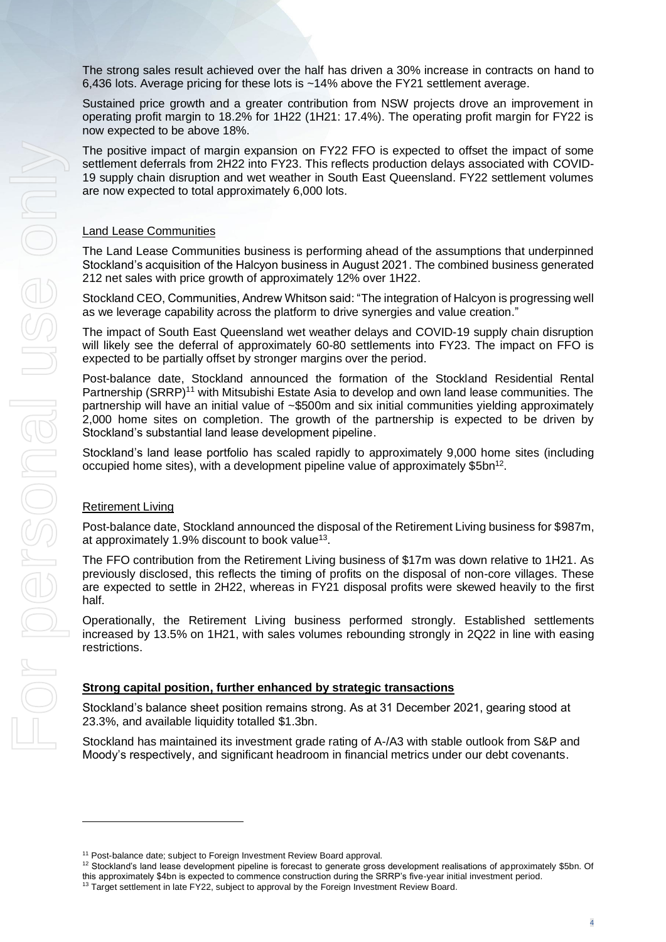The strong sales result achieved over the half has driven a 30% increase in contracts on hand to 6,436 lots. Average pricing for these lots is ~14% above the FY21 settlement average.

Sustained price growth and a greater contribution from NSW projects drove an improvement in operating profit margin to 18.2% for 1H22 (1H21: 17.4%). The operating profit margin for FY22 is now expected to be above 18%.

The positive impact of margin expansion on FY22 FFO is expected to offset the impact of some settlement deferrals from 2H22 into FY23. This reflects production delays associated with COVID-19 supply chain disruption and wet weather in South East Queensland. FY22 settlement volumes are now expected to total approximately 6,000 lots.

### Land Lease Communities

The Land Lease Communities business is performing ahead of the assumptions that underpinned Stockland's acquisition of the Halcyon business in August 2021. The combined business generated 212 net sales with price growth of approximately 12% over 1H22.

Stockland CEO, Communities, Andrew Whitson said: "The integration of Halcyon is progressing well as we leverage capability across the platform to drive synergies and value creation."

The impact of South East Queensland wet weather delays and COVID-19 supply chain disruption will likely see the deferral of approximately 60-80 settlements into FY23. The impact on FFO is expected to be partially offset by stronger margins over the period.

Post-balance date, Stockland announced the formation of the Stockland Residential Rental Partnership (SRRP)<sup>11</sup> with Mitsubishi Estate Asia to develop and own land lease communities. The partnership will have an initial value of ~\$500m and six initial communities yielding approximately 2,000 home sites on completion. The growth of the partnership is expected to be driven by Stockland's substantial land lease development pipeline.

Stockland's land lease portfolio has scaled rapidly to approximately 9,000 home sites (including occupied home sites), with a development pipeline value of approximately \$5bn<sup>12</sup>.

### Retirement Living

Post-balance date, Stockland announced the disposal of the Retirement Living business for \$987m, at approximately 1.9% discount to book value<sup>13</sup>.

The FFO contribution from the Retirement Living business of \$17m was down relative to 1H21. As previously disclosed, this reflects the timing of profits on the disposal of non-core villages. These are expected to settle in 2H22, whereas in FY21 disposal profits were skewed heavily to the first half.

Operationally, the Retirement Living business performed strongly. Established settlements increased by 13.5% on 1H21, with sales volumes rebounding strongly in 2Q22 in line with easing restrictions.

#### **Strong capital position, further enhanced by strategic transactions**

Stockland's balance sheet position remains strong. As at 31 December 2021, gearing stood at 23.3%, and available liquidity totalled \$1.3bn.

Stockland has maintained its investment grade rating of A-/A3 with stable outlook from S&P and Moody's respectively, and significant headroom in financial metrics under our debt covenants.

<sup>&</sup>lt;sup>11</sup> Post-balance date; subject to Foreign Investment Review Board approval.

<sup>12</sup> Stockland's land lease development pipeline is forecast to generate gross development realisations of approximately \$5bn. Of this approximately \$4bn is expected to commence construction during the SRRP's five-year initial investment period.

<sup>&</sup>lt;sup>13</sup> Target settlement in late FY22, subject to approval by the Foreign Investment Review Board.